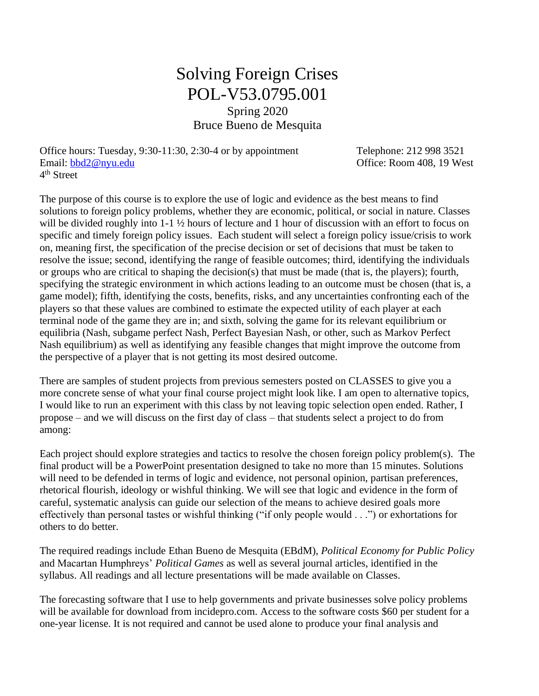## Solving Foreign Crises POL-V53.0795.001 Spring 2020 Bruce Bueno de Mesquita

Office hours: Tuesday, 9:30-11:30, 2:30-4 or by appointment Telephone: 212 998 3521 Email: [bbd2@nyu.edu](mailto:bbd2@nyu.edu) Charles Communication Communication Communication Communication Communication Office: Room 408, 19 West 4<sup>th</sup> Street

The purpose of this course is to explore the use of logic and evidence as the best means to find solutions to foreign policy problems, whether they are economic, political, or social in nature. Classes will be divided roughly into 1-1  $\frac{1}{2}$  hours of lecture and 1 hour of discussion with an effort to focus on specific and timely foreign policy issues. Each student will select a foreign policy issue/crisis to work on, meaning first, the specification of the precise decision or set of decisions that must be taken to resolve the issue; second, identifying the range of feasible outcomes; third, identifying the individuals or groups who are critical to shaping the decision(s) that must be made (that is, the players); fourth, specifying the strategic environment in which actions leading to an outcome must be chosen (that is, a game model); fifth, identifying the costs, benefits, risks, and any uncertainties confronting each of the players so that these values are combined to estimate the expected utility of each player at each terminal node of the game they are in; and sixth, solving the game for its relevant equilibrium or equilibria (Nash, subgame perfect Nash, Perfect Bayesian Nash, or other, such as Markov Perfect Nash equilibrium) as well as identifying any feasible changes that might improve the outcome from the perspective of a player that is not getting its most desired outcome.

There are samples of student projects from previous semesters posted on CLASSES to give you a more concrete sense of what your final course project might look like. I am open to alternative topics, I would like to run an experiment with this class by not leaving topic selection open ended. Rather, I propose – and we will discuss on the first day of class – that students select a project to do from among:

Each project should explore strategies and tactics to resolve the chosen foreign policy problem(s). The final product will be a PowerPoint presentation designed to take no more than 15 minutes. Solutions will need to be defended in terms of logic and evidence, not personal opinion, partisan preferences, rhetorical flourish, ideology or wishful thinking. We will see that logic and evidence in the form of careful, systematic analysis can guide our selection of the means to achieve desired goals more effectively than personal tastes or wishful thinking ("if only people would . . .") or exhortations for others to do better.

The required readings include Ethan Bueno de Mesquita (EBdM), *Political Economy for Public Policy* and Macartan Humphreys' *Political Games* as well as several journal articles, identified in the syllabus. All readings and all lecture presentations will be made available on Classes.

The forecasting software that I use to help governments and private businesses solve policy problems will be available for download from incidepro.com. Access to the software costs \$60 per student for a one-year license. It is not required and cannot be used alone to produce your final analysis and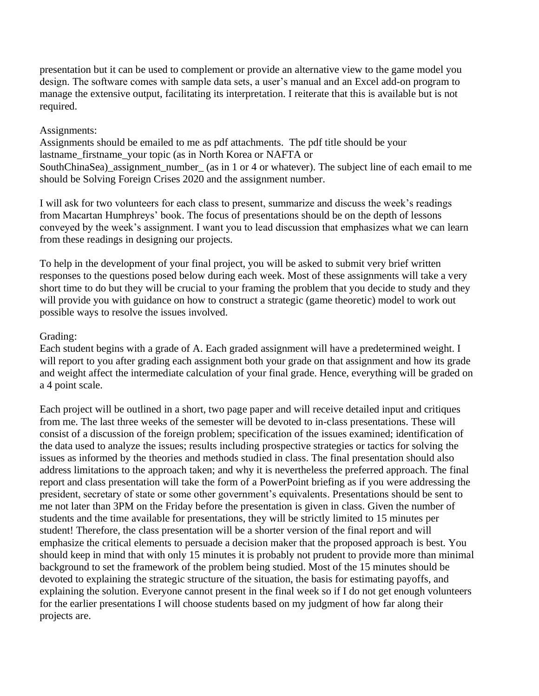presentation but it can be used to complement or provide an alternative view to the game model you design. The software comes with sample data sets, a user's manual and an Excel add-on program to manage the extensive output, facilitating its interpretation. I reiterate that this is available but is not required.

## Assignments:

Assignments should be emailed to me as pdf attachments. The pdf title should be your lastname\_firstname\_your topic (as in North Korea or NAFTA or SouthChinaSea) assignment number (as in 1 or 4 or whatever). The subject line of each email to me should be Solving Foreign Crises 2020 and the assignment number.

I will ask for two volunteers for each class to present, summarize and discuss the week's readings from Macartan Humphreys' book. The focus of presentations should be on the depth of lessons conveyed by the week's assignment. I want you to lead discussion that emphasizes what we can learn from these readings in designing our projects.

To help in the development of your final project, you will be asked to submit very brief written responses to the questions posed below during each week. Most of these assignments will take a very short time to do but they will be crucial to your framing the problem that you decide to study and they will provide you with guidance on how to construct a strategic (game theoretic) model to work out possible ways to resolve the issues involved.

## Grading:

Each student begins with a grade of A. Each graded assignment will have a predetermined weight. I will report to you after grading each assignment both your grade on that assignment and how its grade and weight affect the intermediate calculation of your final grade. Hence, everything will be graded on a 4 point scale.

Each project will be outlined in a short, two page paper and will receive detailed input and critiques from me. The last three weeks of the semester will be devoted to in-class presentations. These will consist of a discussion of the foreign problem; specification of the issues examined; identification of the data used to analyze the issues; results including prospective strategies or tactics for solving the issues as informed by the theories and methods studied in class. The final presentation should also address limitations to the approach taken; and why it is nevertheless the preferred approach. The final report and class presentation will take the form of a PowerPoint briefing as if you were addressing the president, secretary of state or some other government's equivalents. Presentations should be sent to me not later than 3PM on the Friday before the presentation is given in class. Given the number of students and the time available for presentations, they will be strictly limited to 15 minutes per student! Therefore, the class presentation will be a shorter version of the final report and will emphasize the critical elements to persuade a decision maker that the proposed approach is best. You should keep in mind that with only 15 minutes it is probably not prudent to provide more than minimal background to set the framework of the problem being studied. Most of the 15 minutes should be devoted to explaining the strategic structure of the situation, the basis for estimating payoffs, and explaining the solution. Everyone cannot present in the final week so if I do not get enough volunteers for the earlier presentations I will choose students based on my judgment of how far along their projects are.